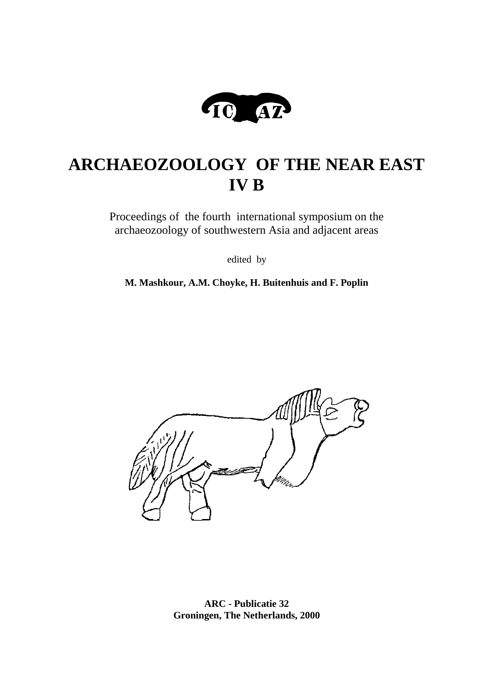

# **ARCHAEOZOOLOGY OF THE NEAR EAST IV B**

Proceedings of the fourth international symposium on the archaeozoology of southwestern Asia and adjacent areas

edited by

**M. Mashkour, A.M. Choyke, H. Buitenhuis and F. Poplin**



**ARC - Publicatie 32 Groningen, The Netherlands, 2000**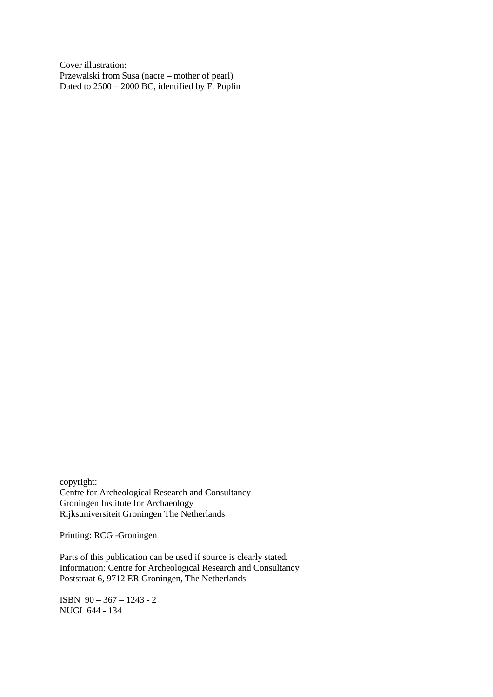Cover illustration: Przewalski from Susa (nacre – mother of pearl) Dated to 2500 – 2000 BC, identified by F. Poplin

copyright: Centre for Archeological Research and Consultancy Groningen Institute for Archaeology Rijksuniversiteit Groningen The Netherlands

Printing: RCG -Groningen

Parts of this publication can be used if source is clearly stated. Information: Centre for Archeological Research and Consultancy Poststraat 6, 9712 ER Groningen, The Netherlands

ISBN 90 – 367 – 1243 - 2 NUGI 644 - 134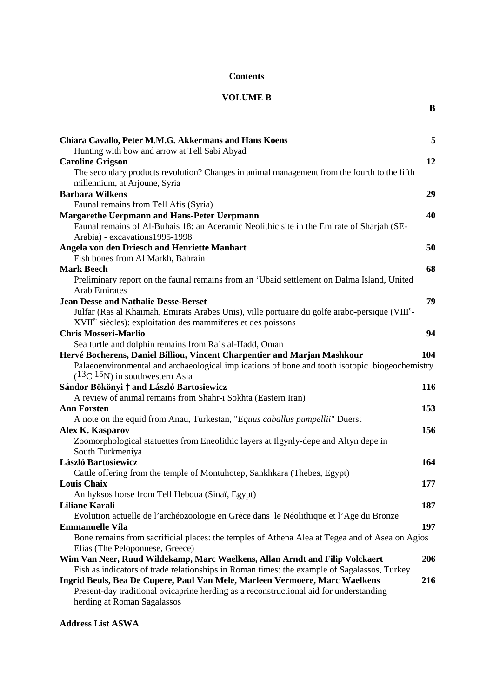# **Contents**

# **VOLUME B**

**B**

| Chiara Cavallo, Peter M.M.G. Akkermans and Hans Koens                                                                              | 5   |
|------------------------------------------------------------------------------------------------------------------------------------|-----|
| Hunting with bow and arrow at Tell Sabi Abyad                                                                                      |     |
| <b>Caroline Grigson</b>                                                                                                            | 12  |
| The secondary products revolution? Changes in animal management from the fourth to the fifth                                       |     |
| millennium, at Arjoune, Syria                                                                                                      |     |
| <b>Barbara Wilkens</b>                                                                                                             | 29  |
| Faunal remains from Tell Afis (Syria)                                                                                              |     |
| <b>Margarethe Uerpmann and Hans-Peter Uerpmann</b>                                                                                 | 40  |
| Faunal remains of Al-Buhais 18: an Aceramic Neolithic site in the Emirate of Sharjah (SE-                                          |     |
| Arabia) - excavations 1995-1998                                                                                                    |     |
| <b>Angela von den Driesch and Henriette Manhart</b>                                                                                | 50  |
| Fish bones from Al Markh, Bahrain                                                                                                  |     |
| <b>Mark Beech</b>                                                                                                                  | 68  |
| Preliminary report on the faunal remains from an 'Ubaid settlement on Dalma Island, United                                         |     |
| <b>Arab Emirates</b>                                                                                                               |     |
| <b>Jean Desse and Nathalie Desse-Berset</b>                                                                                        | 79  |
| Julfar (Ras al Khaimah, Emirats Arabes Unis), ville portuaire du golfe arabo-persique (VIII <sup>e</sup> -                         |     |
| XVII <sup>e-</sup> siècles): exploitation des mammiferes et des poissons                                                           |     |
| <b>Chris Mosseri-Marlio</b>                                                                                                        | 94  |
| Sea turtle and dolphin remains from Ra's al-Hadd, Oman                                                                             |     |
| Hervé Bocherens, Daniel Billiou, Vincent Charpentier and Marjan Mashkour                                                           | 104 |
| Palaeoenvironmental and archaeological implications of bone and tooth isotopic biogeochemistry<br>$(13C 15N)$ in southwestern Asia |     |
| Sándor Bökönyi † and László Bartosiewicz                                                                                           | 116 |
| A review of animal remains from Shahr-i Sokhta (Eastern Iran)                                                                      |     |
| <b>Ann Forsten</b>                                                                                                                 | 153 |
| A note on the equid from Anau, Turkestan, "Equus caballus pumpellii" Duerst                                                        |     |
| Alex K. Kasparov                                                                                                                   | 156 |
| Zoomorphological statuettes from Eneolithic layers at Ilgynly-depe and Altyn depe in                                               |     |
| South Turkmeniya                                                                                                                   |     |
| László Bartosiewicz                                                                                                                | 164 |
| Cattle offering from the temple of Montuhotep, Sankhkara (Thebes, Egypt)                                                           |     |
| <b>Louis Chaix</b>                                                                                                                 | 177 |
| An hyksos horse from Tell Heboua (Sinaï, Egypt)                                                                                    |     |
| <b>Liliane Karali</b>                                                                                                              | 187 |
| Evolution actuelle de l'archéozoologie en Grèce dans le Néolithique et l'Age du Bronze                                             |     |
| <b>Emmanuelle Vila</b>                                                                                                             | 197 |
| Bone remains from sacrificial places: the temples of Athena Alea at Tegea and of Asea on Agios                                     |     |
| Elias (The Peloponnese, Greece)                                                                                                    |     |
| Wim Van Neer, Ruud Wildekamp, Marc Waelkens, Allan Arndt and Filip Volckaert                                                       | 206 |
| Fish as indicators of trade relationships in Roman times: the example of Sagalassos, Turkey                                        |     |
| Ingrid Beuls, Bea De Cupere, Paul Van Mele, Marleen Vermoere, Marc Waelkens                                                        | 216 |
| Present-day traditional ovicaprine herding as a reconstructional aid for understanding                                             |     |
| herding at Roman Sagalassos                                                                                                        |     |

# **Address List ASWA**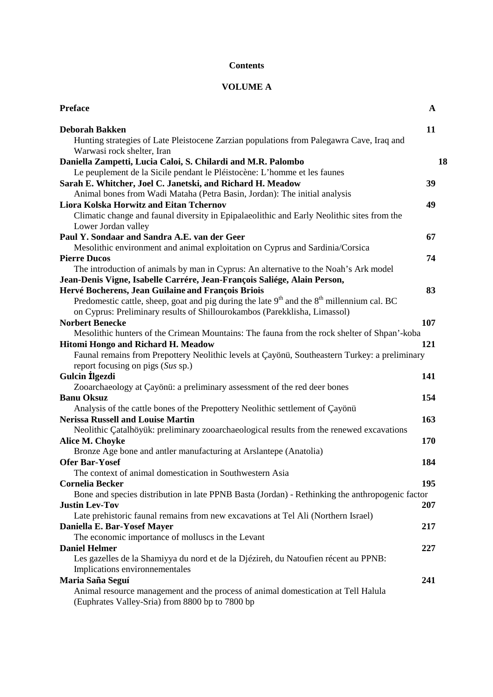# **Contents**

# **VOLUME A**

| <b>Preface</b>                                                                                                                                                   | A   |
|------------------------------------------------------------------------------------------------------------------------------------------------------------------|-----|
| <b>Deborah Bakken</b>                                                                                                                                            | 11  |
| Hunting strategies of Late Pleistocene Zarzian populations from Palegawra Cave, Iraq and<br>Warwasi rock shelter, Iran                                           |     |
| Daniella Zampetti, Lucia Caloi, S. Chilardi and M.R. Palombo                                                                                                     | 18  |
| Le peuplement de la Sicile pendant le Pléistocène: L'homme et les faunes                                                                                         |     |
| Sarah E. Whitcher, Joel C. Janetski, and Richard H. Meadow                                                                                                       | 39  |
| Animal bones from Wadi Mataha (Petra Basin, Jordan): The initial analysis                                                                                        |     |
| Liora Kolska Horwitz and Eitan Tchernov                                                                                                                          | 49  |
| Climatic change and faunal diversity in Epipalaeolithic and Early Neolithic sites from the                                                                       |     |
| Lower Jordan valley                                                                                                                                              |     |
| Paul Y. Sondaar and Sandra A.E. van der Geer                                                                                                                     | 67  |
| Mesolithic environment and animal exploitation on Cyprus and Sardinia/Corsica                                                                                    |     |
| <b>Pierre Ducos</b>                                                                                                                                              | 74  |
| The introduction of animals by man in Cyprus: An alternative to the Noah's Ark model<br>Jean-Denis Vigne, Isabelle Carrére, Jean-François Saliége, Alain Person, |     |
| Hervé Bocherens, Jean Guilaine and François Briois                                                                                                               | 83  |
| Predomestic cattle, sheep, goat and pig during the late $9th$ and the $8th$ millennium cal. BC                                                                   |     |
| on Cyprus: Preliminary results of Shillourokambos (Parekklisha, Limassol)                                                                                        |     |
| <b>Norbert Benecke</b>                                                                                                                                           | 107 |
| Mesolithic hunters of the Crimean Mountains: The fauna from the rock shelter of Shpan'-koba                                                                      |     |
| Hitomi Hongo and Richard H. Meadow                                                                                                                               | 121 |
| Faunal remains from Prepottery Neolithic levels at Çayönü, Southeastern Turkey: a preliminary                                                                    |     |
| report focusing on pigs (Sus sp.)                                                                                                                                |     |
| Gulcin Ilgezdi                                                                                                                                                   | 141 |
| Zooarchaeology at Çayönü: a preliminary assessment of the red deer bones                                                                                         |     |
| <b>Banu Oksuz</b>                                                                                                                                                | 154 |
| Analysis of the cattle bones of the Prepottery Neolithic settlement of Çayönü                                                                                    |     |
| <b>Nerissa Russell and Louise Martin</b>                                                                                                                         | 163 |
| Neolithic Çatalhöyük: preliminary zooarchaeological results from the renewed excavations                                                                         |     |
| Alice M. Choyke                                                                                                                                                  | 170 |
| Bronze Age bone and antler manufacturing at Arslantepe (Anatolia)                                                                                                |     |
| <b>Ofer Bar-Yosef</b>                                                                                                                                            | 184 |
| The context of animal domestication in Southwestern Asia                                                                                                         |     |
| <b>Cornelia Becker</b>                                                                                                                                           | 195 |
| Bone and species distribution in late PPNB Basta (Jordan) - Rethinking the anthropogenic factor                                                                  |     |
| <b>Justin Lev-Tov</b>                                                                                                                                            | 207 |
| Late prehistoric faunal remains from new excavations at Tel Ali (Northern Israel)                                                                                |     |
| Daniella E. Bar-Yosef Mayer                                                                                                                                      | 217 |
| The economic importance of molluscs in the Levant                                                                                                                |     |
| <b>Daniel Helmer</b>                                                                                                                                             | 227 |
| Les gazelles de la Shamiyya du nord et de la Djézireh, du Natoufien récent au PPNB:                                                                              |     |
| Implications environnementales                                                                                                                                   |     |
| Maria Saña Seguí                                                                                                                                                 | 241 |
| Animal resource management and the process of animal domestication at Tell Halula                                                                                |     |
| (Euphrates Valley-Sria) from 8800 bp to 7800 bp                                                                                                                  |     |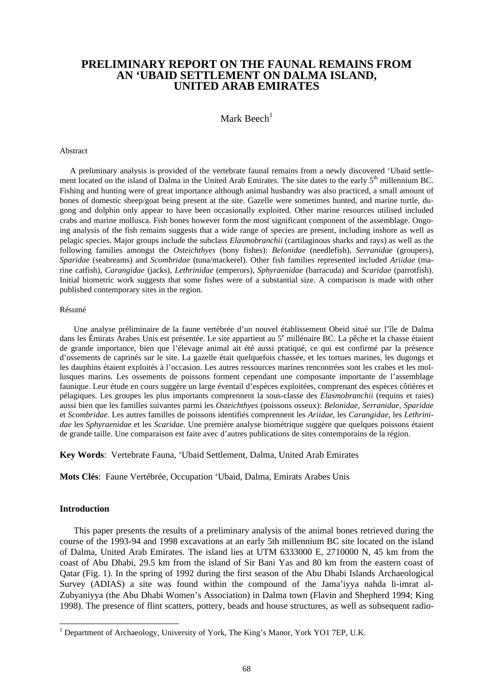# **PRELIMINARY REPORT ON THE FAUNAL REMAINS FROM AN 'UBAID SETTLEMENT ON DALMA ISLAND, UNITED ARAB EMIRATES**

Mark Beech $<sup>1</sup>$ </sup>

#### Abstract

 A preliminary analysis is provided of the vertebrate faunal remains from a newly discovered 'Ubaid settlement located on the island of Dalma in the United Arab Emirates. The site dates to the early 5<sup>th</sup> millennium BC. Fishing and hunting were of great importance although animal husbandry was also practiced, a small amount of bones of domestic sheep/goat being present at the site. Gazelle were sometimes hunted, and marine turtle, dugong and dolphin only appear to have been occasionally exploited. Other marine resources utilised included crabs and marine mollusca. Fish bones however form the most significant component of the assemblage. Ongoing analysis of the fish remains suggests that a wide range of species are present, including inshore as well as pelagic species. Major groups include the subclass *Elasmobranchii* (cartilaginous sharks and rays) as well as the following families amongst the *Osteichthyes* (bony fishes): *Belonidae* (needlefish), *Serranidae* (groupers), *Sparidae* (seabreams) and *Scombridae* (tuna/mackerel). Other fish families represented included *Ariidae* (marine catfish), *Carangidae* (jacks), *Lethrinidae* (emperors), *Sphyraenidae* (barracuda) and *Scaridae* (parrotfish). Initial biometric work suggests that some fishes were of a substantial size. A comparison is made with other published contemporary sites in the region.

#### Résumé

Une analyse préliminaire de la faune vertébrée d'un nouvel établissement Obeid situé sur l'île de Dalma dans les Émirats Arabes Unis est présentée. Le site appartient au 5<sup>e</sup> millénaire BC. La pêche et la chasse étaient de grande importance, bien que l'élevage animal ait été aussi pratiqué, ce qui est confirmé par la présence d'ossements de caprinés sur le site. La gazelle était quelquefois chassée, et les tortues marines, les dugongs et les dauphins étaient exploités à l'occasion. Les autres ressources marines rencontrées sont les crabes et les mollusques marins. Les ossements de poissons forment cependant une composante importante de l'assemblage faunique. Leur étude en cours suggère un large éventail d'espèces exploitées, comprenant des espèces côtières et pélagiques. Les groupes les plus importants comprennent la sous-classe des *Elasmobranchii* (requins et raies) aussi bien que les familles suivantes parmi les *Osteichthyes* (poissons osseux): *Belonidae, Serranidae*, *Sparidae* et *Scombridae*. Les autres familles de poissons identifiés comprennent les *Ariidae*, les *Carangidae*, les *Lethrinidae* les *Sphyraenidae* et les *Scaridae*. Une première analyse biométrique suggère que quelques poissons étaient de grande taille. Une comparaison est faite avec d'autres publications de sites contemporains de la région.

**Key Words**: Vertebrate Fauna, 'Ubaid Settlement, Dalma, United Arab Emirates

**Mots Clés**: Faune Vertébrée, Occupation 'Ubaid, Dalma, Emirats Arabes Unis

#### **Introduction**

 $\overline{a}$ 

This paper presents the results of a preliminary analysis of the animal bones retrieved during the course of the 1993-94 and 1998 excavations at an early 5th millennium BC site located on the island of Dalma, United Arab Emirates. The island lies at UTM 6333000 E, 2710000 N, 45 km from the coast of Abu Dhabi, 29.5 km from the island of Sir Bani Yas and 80 km from the eastern coast of Qatar (Fig. 1). In the spring of 1992 during the first season of the Abu Dhabi Islands Archaeological Survey (ADIAS) a site was found within the compound of the Jama'iyya nahda li-imrat al-Zubyaniyya (the Abu Dhabi Women's Association) in Dalma town (Flavin and Shepherd 1994; King 1998). The presence of flint scatters, pottery, beads and house structures, as well as subsequent radio-

<sup>&</sup>lt;sup>1</sup> Department of Archaeology, University of York, The King's Manor, York YO1 7EP, U.K.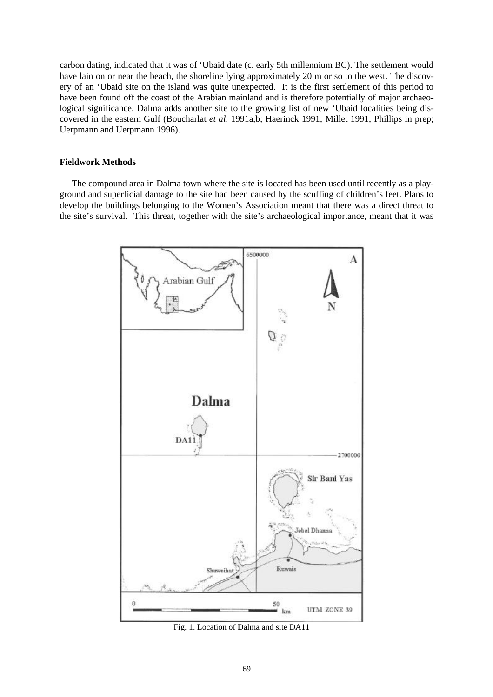carbon dating, indicated that it was of 'Ubaid date (c. early 5th millennium BC). The settlement would have lain on or near the beach, the shoreline lying approximately 20 m or so to the west. The discovery of an 'Ubaid site on the island was quite unexpected. It is the first settlement of this period to have been found off the coast of the Arabian mainland and is therefore potentially of major archaeological significance. Dalma adds another site to the growing list of new 'Ubaid localities being discovered in the eastern Gulf (Boucharlat *et al*. 1991a,b; Haerinck 1991; Millet 1991; Phillips in prep; Uerpmann and Uerpmann 1996).

#### **Fieldwork Methods**

 The compound area in Dalma town where the site is located has been used until recently as a playground and superficial damage to the site had been caused by the scuffing of children's feet. Plans to develop the buildings belonging to the Women's Association meant that there was a direct threat to the site's survival. This threat, together with the site's archaeological importance, meant that it was



Fig. 1. Location of Dalma and site DA11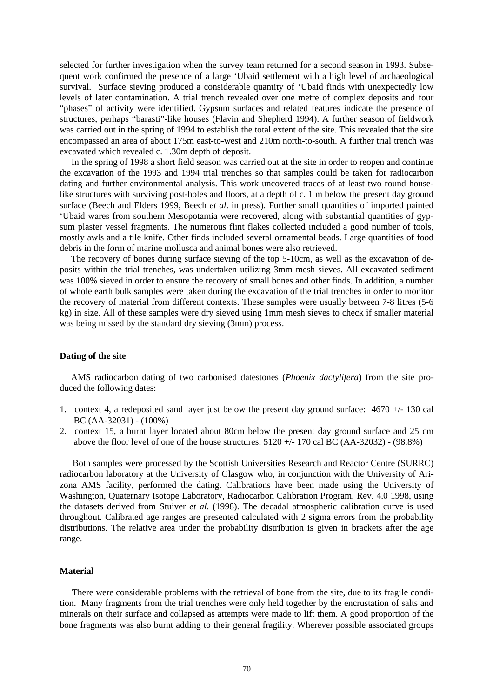selected for further investigation when the survey team returned for a second season in 1993. Subsequent work confirmed the presence of a large 'Ubaid settlement with a high level of archaeological survival. Surface sieving produced a considerable quantity of 'Ubaid finds with unexpectedly low levels of later contamination. A trial trench revealed over one metre of complex deposits and four "phases" of activity were identified. Gypsum surfaces and related features indicate the presence of structures, perhaps "barasti"-like houses (Flavin and Shepherd 1994). A further season of fieldwork was carried out in the spring of 1994 to establish the total extent of the site. This revealed that the site encompassed an area of about 175m east-to-west and 210m north-to-south. A further trial trench was excavated which revealed c. 1.30m depth of deposit.

 In the spring of 1998 a short field season was carried out at the site in order to reopen and continue the excavation of the 1993 and 1994 trial trenches so that samples could be taken for radiocarbon dating and further environmental analysis. This work uncovered traces of at least two round houselike structures with surviving post-holes and floors, at a depth of c. 1 m below the present day ground surface (Beech and Elders 1999, Beech *et al*. in press). Further small quantities of imported painted 'Ubaid wares from southern Mesopotamia were recovered, along with substantial quantities of gypsum plaster vessel fragments. The numerous flint flakes collected included a good number of tools, mostly awls and a tile knife. Other finds included several ornamental beads. Large quantities of food debris in the form of marine mollusca and animal bones were also retrieved.

 The recovery of bones during surface sieving of the top 5-10cm, as well as the excavation of deposits within the trial trenches, was undertaken utilizing 3mm mesh sieves. All excavated sediment was 100% sieved in order to ensure the recovery of small bones and other finds. In addition, a number of whole earth bulk samples were taken during the excavation of the trial trenches in order to monitor the recovery of material from different contexts. These samples were usually between 7-8 litres (5-6 kg) in size. All of these samples were dry sieved using 1mm mesh sieves to check if smaller material was being missed by the standard dry sieving (3mm) process.

#### **Dating of the site**

 AMS radiocarbon dating of two carbonised datestones (*Phoenix dactylifera*) from the site produced the following dates:

- 1. context 4, a redeposited sand layer just below the present day ground surface: 4670 +/- 130 cal BC (AA-32031) - (100%)
- 2. context 15, a burnt layer located about 80cm below the present day ground surface and 25 cm above the floor level of one of the house structures:  $5120 +/- 170$  cal BC (AA-32032) - (98.8%)

 Both samples were processed by the Scottish Universities Research and Reactor Centre (SURRC) radiocarbon laboratory at the University of Glasgow who, in conjunction with the University of Arizona AMS facility, performed the dating. Calibrations have been made using the University of Washington, Quaternary Isotope Laboratory, Radiocarbon Calibration Program, Rev. 4.0 1998, using the datasets derived from Stuiver *et al*. (1998). The decadal atmospheric calibration curve is used throughout. Calibrated age ranges are presented calculated with 2 sigma errors from the probability distributions. The relative area under the probability distribution is given in brackets after the age range.

#### **Material**

 There were considerable problems with the retrieval of bone from the site, due to its fragile condition. Many fragments from the trial trenches were only held together by the encrustation of salts and minerals on their surface and collapsed as attempts were made to lift them. A good proportion of the bone fragments was also burnt adding to their general fragility. Wherever possible associated groups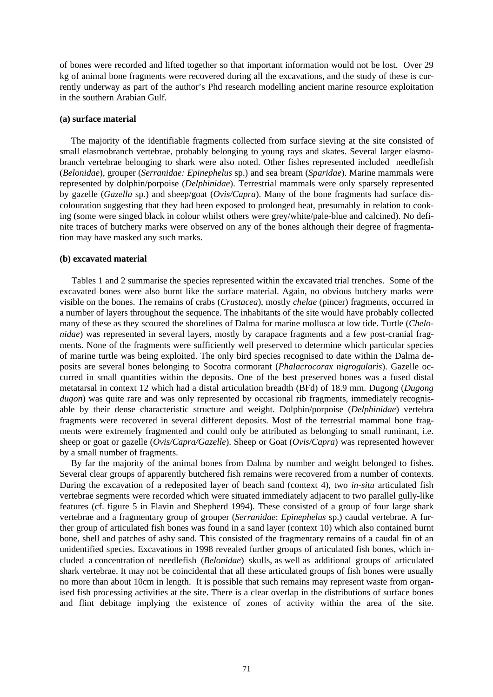of bones were recorded and lifted together so that important information would not be lost. Over 29 kg of animal bone fragments were recovered during all the excavations, and the study of these is currently underway as part of the author's Phd research modelling ancient marine resource exploitation in the southern Arabian Gulf.

#### **(a) surface material**

 The majority of the identifiable fragments collected from surface sieving at the site consisted of small elasmobranch vertebrae, probably belonging to young rays and skates. Several larger elasmobranch vertebrae belonging to shark were also noted. Other fishes represented included needlefish (*Belonidae*), grouper (*Serranidae: Epinephelus* sp.) and sea bream (*Sparidae*). Marine mammals were represented by dolphin/porpoise (*Delphinidae*). Terrestrial mammals were only sparsely represented by gazelle (*Gazella* sp.) and sheep/goat (*Ovis/Capra*). Many of the bone fragments had surface discolouration suggesting that they had been exposed to prolonged heat, presumably in relation to cooking (some were singed black in colour whilst others were grey/white/pale-blue and calcined). No definite traces of butchery marks were observed on any of the bones although their degree of fragmentation may have masked any such marks.

### **(b) excavated material**

 Tables 1 and 2 summarise the species represented within the excavated trial trenches. Some of the excavated bones were also burnt like the surface material. Again, no obvious butchery marks were visible on the bones. The remains of crabs (*Crustacea*), mostly *chelae* (pincer) fragments, occurred in a number of layers throughout the sequence. The inhabitants of the site would have probably collected many of these as they scoured the shorelines of Dalma for marine mollusca at low tide. Turtle (*Chelonidae*) was represented in several layers, mostly by carapace fragments and a few post-cranial fragments. None of the fragments were sufficiently well preserved to determine which particular species of marine turtle was being exploited. The only bird species recognised to date within the Dalma deposits are several bones belonging to Socotra cormorant (*Phalacrocorax nigrogularis*). Gazelle occurred in small quantities within the deposits. One of the best preserved bones was a fused distal metatarsal in context 12 which had a distal articulation breadth (BFd) of 18.9 mm. Dugong (*Dugong dugon*) was quite rare and was only represented by occasional rib fragments, immediately recognisable by their dense characteristic structure and weight. Dolphin/porpoise (*Delphinidae*) vertebra fragments were recovered in several different deposits. Most of the terrestrial mammal bone fragments were extremely fragmented and could only be attributed as belonging to small ruminant, i.e. sheep or goat or gazelle (*Ovis/Capra/Gazelle*). Sheep or Goat (*Ovis/Capra*) was represented however by a small number of fragments.

 By far the majority of the animal bones from Dalma by number and weight belonged to fishes. Several clear groups of apparently butchered fish remains were recovered from a number of contexts. During the excavation of a redeposited layer of beach sand (context 4), two *in-situ* articulated fish vertebrae segments were recorded which were situated immediately adjacent to two parallel gully-like features (cf. figure 5 in Flavin and Shepherd 1994). These consisted of a group of four large shark vertebrae and a fragmentary group of grouper (*Serranidae*: *Epinephelus* sp.) caudal vertebrae. A further group of articulated fish bones was found in a sand layer (context 10) which also contained burnt bone, shell and patches of ashy sand. This consisted of the fragmentary remains of a caudal fin of an unidentified species. Excavations in 1998 revealed further groups of articulated fish bones, which included a concentration of needlefish (*Belonidae*) skulls, as well as additional groups of articulated shark vertebrae. It may not be coincidental that all these articulated groups of fish bones were usually no more than about 10cm in length. It is possible that such remains may represent waste from organised fish processing activities at the site. There is a clear overlap in the distributions of surface bones and flint debitage implying the existence of zones of activity within the area of the site.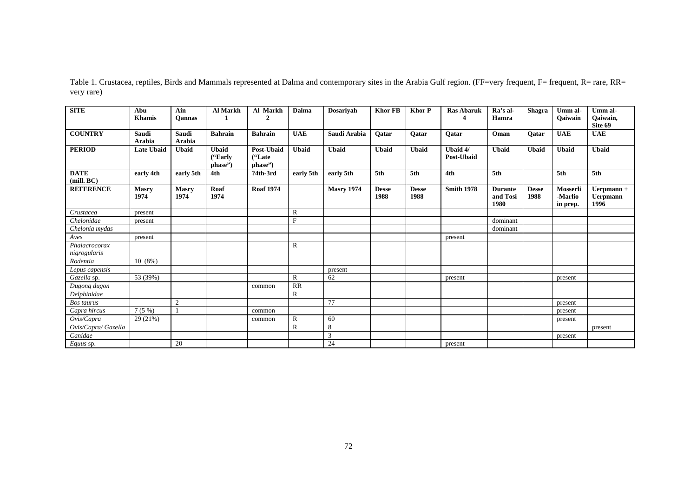| <b>SITE</b>                   | Abu<br><b>Khamis</b>   | Ain<br><b>Oannas</b> | <b>Al Markh</b>                    | Al Markh<br>$\mathbf{2}$         | Dalma        | <b>Dosariyah</b>  | <b>Khor FB</b>       | <b>Khor P</b>        | <b>Ras Abaruk</b><br>4 | Ra's al-<br>Hamra                  | <b>Shagra</b>        | Umm al-<br>Oaiwain              | Umm al-<br>Qaiwain,<br>Site 69        |
|-------------------------------|------------------------|----------------------|------------------------------------|----------------------------------|--------------|-------------------|----------------------|----------------------|------------------------|------------------------------------|----------------------|---------------------------------|---------------------------------------|
| <b>COUNTRY</b>                | Saudi<br><b>Arabia</b> | Saudi<br>Arabia      | <b>Bahrain</b>                     | <b>Bahrain</b>                   | <b>UAE</b>   | Saudi Arabia      | Oatar                | Oatar                | Oatar                  | Oman                               | Oatar                | <b>UAE</b>                      | <b>UAE</b>                            |
| <b>PERIOD</b>                 | <b>Late Ubaid</b>      | <b>Ubaid</b>         | <b>Ubaid</b><br>("Early<br>phase") | Post-Ubaid<br>("Late"<br>phase") | <b>Ubaid</b> | <b>Ubaid</b>      | <b>Ubaid</b>         | <b>Ubaid</b>         | Ubaid 4/<br>Post-Ubaid | <b>Ubaid</b>                       | <b>Ubaid</b>         | <b>Ubaid</b>                    | <b>Ubaid</b>                          |
| <b>DATE</b><br>(mill. BC)     | early 4th              | early 5th            | 4th                                | ?4th-3rd                         | early 5th    | early 5th         | 5th                  | 5th                  | 4th                    | 5th                                |                      | 5th                             | 5th                                   |
| <b>REFERENCE</b>              | <b>Masry</b><br>1974   | <b>Masry</b><br>1974 | Roaf<br>1974                       | <b>Roaf 1974</b>                 |              | <b>Masry 1974</b> | <b>Desse</b><br>1988 | <b>Desse</b><br>1988 | <b>Smith 1978</b>      | <b>Durante</b><br>and Tosi<br>1980 | <b>Desse</b><br>1988 | Mosserli<br>-Marlio<br>in prep. | Uerpmann +<br><b>Uerpmann</b><br>1996 |
| Crustacea                     | present                |                      |                                    |                                  | R            |                   |                      |                      |                        |                                    |                      |                                 |                                       |
| Chelonidae                    | present                |                      |                                    |                                  | $\mathbf{F}$ |                   |                      |                      |                        | dominant                           |                      |                                 |                                       |
| Chelonia mydas                |                        |                      |                                    |                                  |              |                   |                      |                      |                        | dominant                           |                      |                                 |                                       |
| Aves                          | present                |                      |                                    |                                  |              |                   |                      |                      | present                |                                    |                      |                                 |                                       |
| Phalacrocorax<br>nigrogularis |                        |                      |                                    |                                  | R            |                   |                      |                      |                        |                                    |                      |                                 |                                       |
| Rodentia                      | 10(8%)                 |                      |                                    |                                  |              |                   |                      |                      |                        |                                    |                      |                                 |                                       |
| Lepus capensis                |                        |                      |                                    |                                  |              | present           |                      |                      |                        |                                    |                      |                                 |                                       |
| Gazella sp.                   | 53 (39%)               |                      |                                    |                                  | $\mathbb R$  | 62                |                      |                      | present                |                                    |                      | present                         |                                       |
| Dugong dugon                  |                        |                      |                                    | common                           | RR           |                   |                      |                      |                        |                                    |                      |                                 |                                       |
| Delphinidae                   |                        |                      |                                    |                                  | $\mathbb R$  |                   |                      |                      |                        |                                    |                      |                                 |                                       |
| Bos taurus                    |                        | $\overline{2}$       |                                    |                                  |              | 77                |                      |                      |                        |                                    |                      | present                         |                                       |
| Capra hircus                  | 7(5%)                  |                      |                                    | common                           |              |                   |                      |                      |                        |                                    |                      | present                         |                                       |
| Ovis/Capra                    | 29 (21%)               |                      |                                    | common                           | R            | 60                |                      |                      |                        |                                    |                      | present                         |                                       |
| Ovis/Capra/ Gazella           |                        |                      |                                    |                                  | R            | 8                 |                      |                      |                        |                                    |                      |                                 | present                               |
| Canidae                       |                        |                      |                                    |                                  |              | $\overline{3}$    |                      |                      |                        |                                    |                      | present                         |                                       |
| Equus sp.                     |                        | 20                   |                                    |                                  |              | 24                |                      |                      | present                |                                    |                      |                                 |                                       |

Table 1. Crustacea, reptiles, Birds and Mammals represented at Dalma and contemporary sites in the Arabia Gulf region. (FF=very frequent, F= frequent, R= rare, RR= very rare)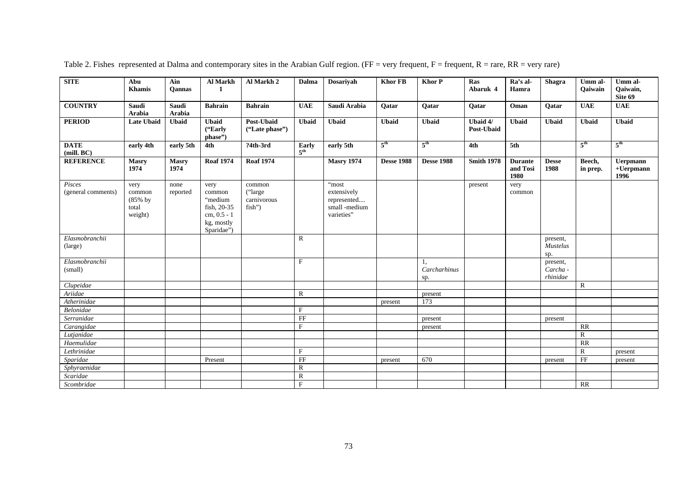| <b>SITE</b>                  | Abu<br><b>Khamis</b>                             | Ain<br>Qannas        | <b>Al Markh</b><br>$\mathbf{1}$                                                     | Al Markh 2                                   | Dalma                     | Dosariyah                                                          | <b>Khor FB</b>    | <b>Khor P</b>             | Ras<br>Abaruk 4        | Ra's al-<br>Hamra                  | <b>Shagra</b>                      | Umm al-<br><b>Qaiwain</b> | Umm al-<br>Qaiwain,<br>Site 69          |
|------------------------------|--------------------------------------------------|----------------------|-------------------------------------------------------------------------------------|----------------------------------------------|---------------------------|--------------------------------------------------------------------|-------------------|---------------------------|------------------------|------------------------------------|------------------------------------|---------------------------|-----------------------------------------|
| <b>COUNTRY</b>               | Saudi<br>Arabia                                  | Saudi<br>Arabia      | <b>Bahrain</b>                                                                      | <b>Bahrain</b>                               | <b>UAE</b>                | Saudi Arabia                                                       | Qatar             | Qatar                     | Qatar                  | Oman                               | Qatar                              | <b>UAE</b>                | <b>UAE</b>                              |
| <b>PERIOD</b>                | <b>Late Ubaid</b>                                | <b>Ubaid</b>         | <b>Ubaid</b><br>("Early<br>phase")                                                  | Post-Ubaid<br>('Late phase')                 | <b>Ubaid</b>              | <b>Ubaid</b>                                                       | <b>Ubaid</b>      | <b>Ubaid</b>              | Ubaid 4/<br>Post-Ubaid | <b>Ubaid</b>                       | <b>Ubaid</b>                       | <b>Ubaid</b>              | <b>Ubaid</b>                            |
| <b>DATE</b><br>(mill, BC)    | early 4th                                        | early 5th            | 4th                                                                                 | ?4th-3rd                                     | Early<br>5 <sup>th</sup>  | early 5th                                                          | 5 <sup>th</sup>   | 5 <sup>th</sup>           | 4th                    | 5th                                |                                    | 5 <sup>th</sup>           | $5^{\text{th}}$                         |
| <b>REFERENCE</b>             | <b>Masry</b><br>1974                             | <b>Masry</b><br>1974 | <b>Roaf 1974</b>                                                                    | <b>Roaf 1974</b>                             |                           | <b>Masry 1974</b>                                                  | <b>Desse 1988</b> | <b>Desse 1988</b>         | <b>Smith 1978</b>      | <b>Durante</b><br>and Tosi<br>1980 | <b>Desse</b><br>1988               | Beech,<br>in prep.        | <b>Uerpmann</b><br>$+$ Uerpmann<br>1996 |
| Pisces<br>(general comments) | very<br>common<br>$(85\%$ by<br>total<br>weight) | none<br>reported     | very<br>common<br>"medium<br>fish, 20-35<br>cm, 0.5 - 1<br>kg, mostly<br>Sparidae") | common<br>("large")<br>carnivorous<br>fish") |                           | "most<br>extensively<br>represented<br>small -medium<br>varieties" |                   |                           | present                | very<br>common                     |                                    |                           |                                         |
| Elasmobranchii<br>(large)    |                                                  |                      |                                                                                     |                                              | $\mathbb{R}$              |                                                                    |                   |                           |                        |                                    | present,<br><b>Mustelus</b><br>sp. |                           |                                         |
| Elasmobranchii<br>(small)    |                                                  |                      |                                                                                     |                                              | $\boldsymbol{\mathrm{F}}$ |                                                                    |                   | 1,<br>Carcharhinus<br>sp. |                        |                                    | present,<br>Carcha -<br>rhinidae   |                           |                                         |
| Clupeidae                    |                                                  |                      |                                                                                     |                                              |                           |                                                                    |                   |                           |                        |                                    |                                    | $\mathbb{R}$              |                                         |
| Ariidae                      |                                                  |                      |                                                                                     |                                              | $\mathbb{R}$              |                                                                    |                   | present                   |                        |                                    |                                    |                           |                                         |
| Atherinidae                  |                                                  |                      |                                                                                     |                                              |                           |                                                                    | present           | 173                       |                        |                                    |                                    |                           |                                         |
| Belonidae                    |                                                  |                      |                                                                                     |                                              | $\rm F$                   |                                                                    |                   |                           |                        |                                    |                                    |                           |                                         |
| Serranidae                   |                                                  |                      |                                                                                     |                                              | FF                        |                                                                    |                   | present                   |                        |                                    | present                            |                           |                                         |
| Carangidae                   |                                                  |                      |                                                                                     |                                              | F                         |                                                                    |                   | present                   |                        |                                    |                                    | RR                        |                                         |
| Lutjanidae                   |                                                  |                      |                                                                                     |                                              |                           |                                                                    |                   |                           |                        |                                    |                                    | $\mathbb{R}$              |                                         |
| Haemulidae                   |                                                  |                      |                                                                                     |                                              |                           |                                                                    |                   |                           |                        |                                    |                                    | RR                        |                                         |
| Lethrinidae                  |                                                  |                      |                                                                                     |                                              | $\mathbf F$               |                                                                    |                   |                           |                        |                                    |                                    | $\mathbb{R}$              | present                                 |
| Sparidae                     |                                                  |                      | Present                                                                             |                                              | FF                        |                                                                    | present           | 670                       |                        |                                    | present                            | FF                        | present                                 |
| Sphyraenidae                 |                                                  |                      |                                                                                     |                                              | $\mathbb{R}$              |                                                                    |                   |                           |                        |                                    |                                    |                           |                                         |
| Scaridae                     |                                                  |                      |                                                                                     |                                              | $\mathbb{R}$              |                                                                    |                   |                           |                        |                                    |                                    |                           |                                         |
| Scombridae                   |                                                  |                      |                                                                                     |                                              | $\mathbf F$               |                                                                    |                   |                           |                        |                                    |                                    | RR                        |                                         |

Table 2. Fishes represented at Dalma and contemporary sites in the Arabian Gulf region. (FF = very frequent, F = frequent, R = rare, RR = very rare)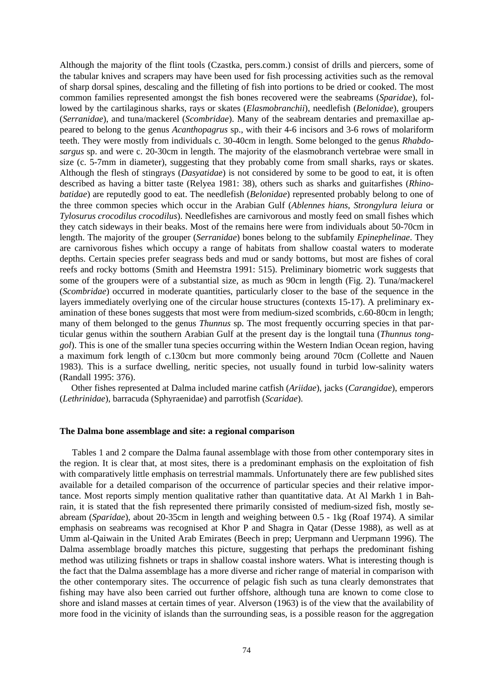Although the majority of the flint tools (Czastka, pers.comm.) consist of drills and piercers, some of the tabular knives and scrapers may have been used for fish processing activities such as the removal of sharp dorsal spines, descaling and the filleting of fish into portions to be dried or cooked. The most common families represented amongst the fish bones recovered were the seabreams (*Sparidae*), followed by the cartilaginous sharks, rays or skates (*Elasmobranchii*), needlefish (*Belonidae*), groupers (*Serranidae*), and tuna/mackerel (*Scombridae*). Many of the seabream dentaries and premaxillae appeared to belong to the genus *Acanthopagrus* sp., with their 4-6 incisors and 3-6 rows of molariform teeth. They were mostly from individuals c. 30-40cm in length. Some belonged to the genus *Rhabdosargus* sp. and were c. 20-30cm in length. The majority of the elasmobranch vertebrae were small in size (c. 5-7mm in diameter), suggesting that they probably come from small sharks, rays or skates. Although the flesh of stingrays (*Dasyatidae*) is not considered by some to be good to eat, it is often described as having a bitter taste (Relyea 1981: 38), others such as sharks and guitarfishes (*Rhinobatidae*) are reputedly good to eat. The needlefish (*Belonidae*) represented probably belong to one of the three common species which occur in the Arabian Gulf (*Ablennes hians*, *Strongylura leiura* or *Tylosurus crocodilus crocodilus*). Needlefishes are carnivorous and mostly feed on small fishes which they catch sideways in their beaks. Most of the remains here were from individuals about 50-70cm in length. The majority of the grouper (*Serranidae*) bones belong to the subfamily *Epinephelinae*. They are carnivorous fishes which occupy a range of habitats from shallow coastal waters to moderate depths. Certain species prefer seagrass beds and mud or sandy bottoms, but most are fishes of coral reefs and rocky bottoms (Smith and Heemstra 1991: 515). Preliminary biometric work suggests that some of the groupers were of a substantial size, as much as 90cm in length (Fig. 2). Tuna/mackerel (*Scombridae*) occurred in moderate quantities, particularly closer to the base of the sequence in the layers immediately overlying one of the circular house structures (contexts 15-17). A preliminary examination of these bones suggests that most were from medium-sized scombrids, c.60-80cm in length; many of them belonged to the genus *Thunnus* sp. The most frequently occurring species in that particular genus within the southern Arabian Gulf at the present day is the longtail tuna (*Thunnus tonggol*). This is one of the smaller tuna species occurring within the Western Indian Ocean region, having a maximum fork length of c.130cm but more commonly being around 70cm (Collette and Nauen 1983). This is a surface dwelling, neritic species, not usually found in turbid low-salinity waters (Randall 1995: 376).

 Other fishes represented at Dalma included marine catfish (*Ariidae*), jacks (*Carangidae*), emperors (*Lethrinidae*), barracuda (Sphyraenidae) and parrotfish (*Scaridae*).

#### **The Dalma bone assemblage and site: a regional comparison**

 Tables 1 and 2 compare the Dalma faunal assemblage with those from other contemporary sites in the region. It is clear that, at most sites, there is a predominant emphasis on the exploitation of fish with comparatively little emphasis on terrestrial mammals. Unfortunately there are few published sites available for a detailed comparison of the occurrence of particular species and their relative importance. Most reports simply mention qualitative rather than quantitative data. At Al Markh 1 in Bahrain, it is stated that the fish represented there primarily consisted of medium-sized fish, mostly seabream (*Sparidae*), about 20-35cm in length and weighing between 0.5 - 1kg (Roaf 1974). A similar emphasis on seabreams was recognised at Khor P and Shagra in Qatar (Desse 1988), as well as at Umm al-Qaiwain in the United Arab Emirates (Beech in prep; Uerpmann and Uerpmann 1996). The Dalma assemblage broadly matches this picture, suggesting that perhaps the predominant fishing method was utilizing fishnets or traps in shallow coastal inshore waters. What is interesting though is the fact that the Dalma assemblage has a more diverse and richer range of material in comparison with the other contemporary sites. The occurrence of pelagic fish such as tuna clearly demonstrates that fishing may have also been carried out further offshore, although tuna are known to come close to shore and island masses at certain times of year. Alverson (1963) is of the view that the availability of more food in the vicinity of islands than the surrounding seas, is a possible reason for the aggregation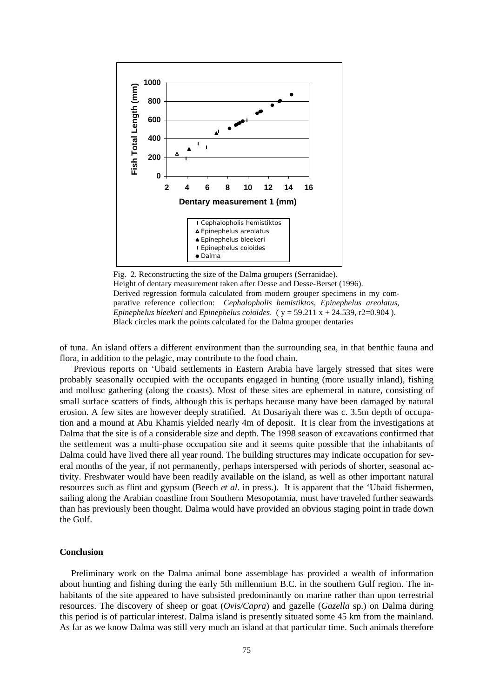

Fig. 2. Reconstructing the size of the Dalma groupers (Serranidae). Height of dentary measurement taken after Desse and Desse-Berset (1996). Derived regression formula calculated from modern grouper specimens in my comparative reference collection: *Cephalopholis hemistiktos*, *Epinephelus areolatus*, *Epinephelus bleekeri* and *Epinephelus coioides.* ( $y = 59.211 x + 24.539$ , r2=0.904). Black circles mark the points calculated for the Dalma grouper dentaries

of tuna. An island offers a different environment than the surrounding sea, in that benthic fauna and flora, in addition to the pelagic, may contribute to the food chain.

Previous reports on 'Ubaid settlements in Eastern Arabia have largely stressed that sites were probably seasonally occupied with the occupants engaged in hunting (more usually inland), fishing and mollusc gathering (along the coasts). Most of these sites are ephemeral in nature, consisting of small surface scatters of finds, although this is perhaps because many have been damaged by natural erosion. A few sites are however deeply stratified. At Dosariyah there was c. 3.5m depth of occupation and a mound at Abu Khamis yielded nearly 4m of deposit. It is clear from the investigations at Dalma that the site is of a considerable size and depth. The 1998 season of excavations confirmed that the settlement was a multi-phase occupation site and it seems quite possible that the inhabitants of Dalma could have lived there all year round. The building structures may indicate occupation for several months of the year, if not permanently, perhaps interspersed with periods of shorter, seasonal activity. Freshwater would have been readily available on the island, as well as other important natural resources such as flint and gypsum (Beech *et al*. in press.). It is apparent that the 'Ubaid fishermen, sailing along the Arabian coastline from Southern Mesopotamia, must have traveled further seawards than has previously been thought. Dalma would have provided an obvious staging point in trade down the Gulf.

#### **Conclusion**

 Preliminary work on the Dalma animal bone assemblage has provided a wealth of information about hunting and fishing during the early 5th millennium B.C. in the southern Gulf region. The inhabitants of the site appeared to have subsisted predominantly on marine rather than upon terrestrial resources. The discovery of sheep or goat (*Ovis/Capra*) and gazelle (*Gazella* sp.) on Dalma during this period is of particular interest. Dalma island is presently situated some 45 km from the mainland. As far as we know Dalma was still very much an island at that particular time. Such animals therefore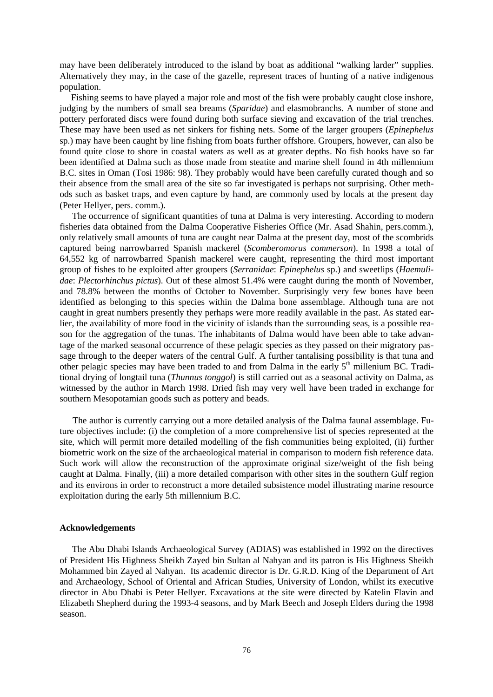may have been deliberately introduced to the island by boat as additional "walking larder" supplies. Alternatively they may, in the case of the gazelle, represent traces of hunting of a native indigenous population.

 Fishing seems to have played a major role and most of the fish were probably caught close inshore, judging by the numbers of small sea breams (*Sparidae*) and elasmobranchs. A number of stone and pottery perforated discs were found during both surface sieving and excavation of the trial trenches. These may have been used as net sinkers for fishing nets. Some of the larger groupers (*Epinephelus* sp.) may have been caught by line fishing from boats further offshore. Groupers, however, can also be found quite close to shore in coastal waters as well as at greater depths. No fish hooks have so far been identified at Dalma such as those made from steatite and marine shell found in 4th millennium B.C. sites in Oman (Tosi 1986: 98). They probably would have been carefully curated though and so their absence from the small area of the site so far investigated is perhaps not surprising. Other methods such as basket traps, and even capture by hand, are commonly used by locals at the present day (Peter Hellyer, pers. comm.).

 The occurrence of significant quantities of tuna at Dalma is very interesting. According to modern fisheries data obtained from the Dalma Cooperative Fisheries Office (Mr. Asad Shahin, pers.comm.), only relatively small amounts of tuna are caught near Dalma at the present day, most of the scombrids captured being narrowbarred Spanish mackerel (*Scomberomorus commerson*). In 1998 a total of 64,552 kg of narrowbarred Spanish mackerel were caught, representing the third most important group of fishes to be exploited after groupers (*Serranidae*: *Epinephelus* sp.) and sweetlips (*Haemulidae*: *Plectorhinchus pictus*). Out of these almost 51.4% were caught during the month of November, and 78.8% between the months of October to November. Surprisingly very few bones have been identified as belonging to this species within the Dalma bone assemblage. Although tuna are not caught in great numbers presently they perhaps were more readily available in the past. As stated earlier, the availability of more food in the vicinity of islands than the surrounding seas, is a possible reason for the aggregation of the tunas. The inhabitants of Dalma would have been able to take advantage of the marked seasonal occurrence of these pelagic species as they passed on their migratory passage through to the deeper waters of the central Gulf. A further tantalising possibility is that tuna and other pelagic species may have been traded to and from Dalma in the early  $5<sup>th</sup>$  millenium BC. Traditional drying of longtail tuna (*Thunnus tonggol*) is still carried out as a seasonal activity on Dalma, as witnessed by the author in March 1998. Dried fish may very well have been traded in exchange for southern Mesopotamian goods such as pottery and beads.

 The author is currently carrying out a more detailed analysis of the Dalma faunal assemblage. Future objectives include: (i) the completion of a more comprehensive list of species represented at the site, which will permit more detailed modelling of the fish communities being exploited, (ii) further biometric work on the size of the archaeological material in comparison to modern fish reference data. Such work will allow the reconstruction of the approximate original size/weight of the fish being caught at Dalma. Finally, (iii) a more detailed comparison with other sites in the southern Gulf region and its environs in order to reconstruct a more detailed subsistence model illustrating marine resource exploitation during the early 5th millennium B.C.

#### **Acknowledgements**

 The Abu Dhabi Islands Archaeological Survey (ADIAS) was established in 1992 on the directives of President His Highness Sheikh Zayed bin Sultan al Nahyan and its patron is His Highness Sheikh Mohammed bin Zayed al Nahyan. Its academic director is Dr. G.R.D. King of the Department of Art and Archaeology, School of Oriental and African Studies, University of London, whilst its executive director in Abu Dhabi is Peter Hellyer. Excavations at the site were directed by Katelin Flavin and Elizabeth Shepherd during the 1993-4 seasons, and by Mark Beech and Joseph Elders during the 1998 season.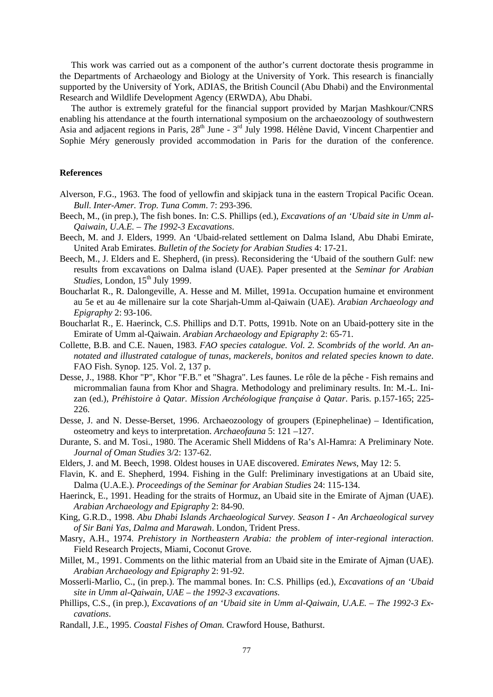This work was carried out as a component of the author's current doctorate thesis programme in the Departments of Archaeology and Biology at the University of York. This research is financially supported by the University of York, ADIAS, the British Council (Abu Dhabi) and the Environmental Research and Wildlife Development Agency (ERWDA), Abu Dhabi.

 The author is extremely grateful for the financial support provided by Marjan Mashkour/CNRS enabling his attendance at the fourth international symposium on the archaeozoology of southwestern Asia and adjacent regions in Paris, 28<sup>th</sup> June - 3<sup>rd</sup> July 1998. Hélène David, Vincent Charpentier and Sophie Méry generously provided accommodation in Paris for the duration of the conference.

#### **References**

- Alverson, F.G., 1963. The food of yellowfin and skipjack tuna in the eastern Tropical Pacific Ocean. *Bull. Inter-Amer. Trop. Tuna Comm*. 7: 293-396.
- Beech, M., (in prep.), The fish bones. In: C.S. Phillips (ed.), *Excavations of an 'Ubaid site in Umm al-Qaiwain, U.A.E. – The 1992-3 Excavations*.
- Beech, M. and J. Elders, 1999. An 'Ubaid-related settlement on Dalma Island, Abu Dhabi Emirate, United Arab Emirates. *Bulletin of the Society for Arabian Studies* 4: 17-21.
- Beech, M., J. Elders and E. Shepherd, (in press). Reconsidering the 'Ubaid of the southern Gulf: new results from excavations on Dalma island (UAE). Paper presented at the *Seminar for Arabian Studies*, London, 15<sup>th</sup> July 1999.
- Boucharlat R., R. Dalongeville, A. Hesse and M. Millet, 1991a. Occupation humaine et environment au 5e et au 4e millenaire sur la cote Sharjah-Umm al-Qaiwain (UAE). *Arabian Archaeology and Epigraphy* 2: 93-106.
- Boucharlat R., E. Haerinck, C.S. Phillips and D.T. Potts, 1991b. Note on an Ubaid-pottery site in the Emirate of Umm al-Qaiwain. *Arabian Archaeology and Epigraphy* 2: 65-71.
- Collette, B.B. and C.E. Nauen, 1983. *FAO species catalogue. Vol. 2. Scombrids of the world. An annotated and illustrated catalogue of tunas, mackerels, bonitos and related species known to date*. FAO Fish. Synop. 125. Vol. 2, 137 p.
- Desse, J., 1988. Khor "P", Khor "F.B." et "Shagra". Les faunes. Le rôle de la pêche Fish remains and micrommalian fauna from Khor and Shagra. Methodology and preliminary results. In: M.-L. Inizan (ed.), *Préhistoire à Qatar. Mission Archéologique française à Qatar*. Paris. p.157-165; 225- 226.
- Desse, J. and N. Desse-Berset, 1996. Archaeozoology of groupers (Epinephelinae) Identification, osteometry and keys to interpretation. *Archaeofauna* 5: 121 –127.
- Durante, S. and M. Tosi., 1980. The Aceramic Shell Middens of Ra's Al-Hamra: A Preliminary Note. *Journal of Oman Studies* 3/2: 137-62.
- Elders, J. and M. Beech, 1998. Oldest houses in UAE discovered. *Emirates News*, May 12: 5.
- Flavin, K. and E. Shepherd, 1994. Fishing in the Gulf: Preliminary investigations at an Ubaid site, Dalma (U.A.E.). *Proceedings of the Seminar for Arabian Studies* 24: 115-134.
- Haerinck, E., 1991. Heading for the straits of Hormuz, an Ubaid site in the Emirate of Ajman (UAE). *Arabian Archaeology and Epigraphy* 2: 84-90.
- King, G.R.D., 1998. *Abu Dhabi Islands Archaeological Survey. Season I An Archaeological survey of Sir Bani Yas, Dalma and Marawah*. London, Trident Press.
- Masry, A.H., 1974. *Prehistory in Northeastern Arabia: the problem of inter-regional interaction*. Field Research Projects, Miami, Coconut Grove.
- Millet, M., 1991. Comments on the lithic material from an Ubaid site in the Emirate of Ajman (UAE). *Arabian Archaeology and Epigraphy* 2: 91-92.
- Mosserli-Marlio, C., (in prep.). The mammal bones. In: C.S. Phillips (ed.), *Excavations of an 'Ubaid site in Umm al-Qaiwain, UAE – the 1992-3 excavations.*
- Phillips, C.S., (in prep.), *Excavations of an 'Ubaid site in Umm al-Qaiwain, U.A.E. The 1992-3 Excavations*.
- Randall, J.E., 1995. *Coastal Fishes of Oman.* Crawford House, Bathurst.